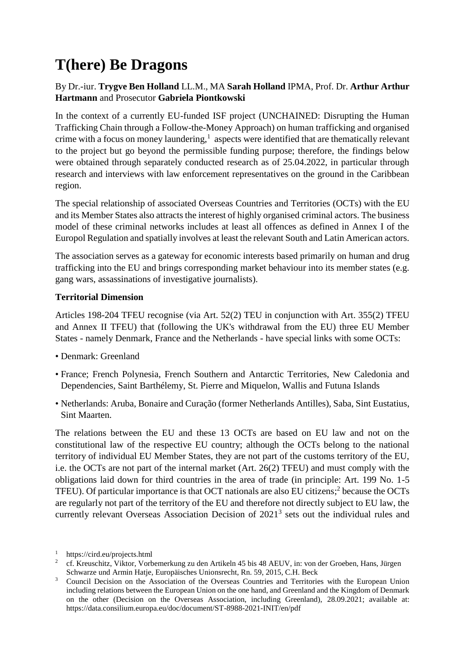# **T(here) Be Dragons**

# By Dr.-iur. **Trygve Ben Holland** LL.M., MA **Sarah Holland** IPMA, Prof. Dr. **Arthur Arthur Hartmann** and Prosecutor **Gabriela Piontkowski**

In the context of a currently EU-funded ISF project (UNCHAINED: Disrupting the Human Trafficking Chain through a Follow-the-Money Approach) on human trafficking and organised crime with a focus on money laundering, $<sup>1</sup>$  aspects were identified that are thematically relevant</sup> to the project but go beyond the permissible funding purpose; therefore, the findings below were obtained through separately conducted research as of 25.04.2022, in particular through research and interviews with law enforcement representatives on the ground in the Caribbean region.

The special relationship of associated Overseas Countries and Territories (OCTs) with the EU and its Member States also attracts the interest of highly organised criminal actors. The business model of these criminal networks includes at least all offences as defined in Annex I of the Europol Regulation and spatially involves at least the relevant South and Latin American actors.

The association serves as a gateway for economic interests based primarily on human and drug trafficking into the EU and brings corresponding market behaviour into its member states (e.g. gang wars, assassinations of investigative journalists).

## **Territorial Dimension**

Articles 198-204 TFEU recognise (via Art. 52(2) TEU in conjunction with Art. 355(2) TFEU and Annex II TFEU) that (following the UK's withdrawal from the EU) three EU Member States - namely Denmark, France and the Netherlands - have special links with some OCTs:

- Denmark: Greenland
- France; French Polynesia, French Southern and Antarctic Territories, New Caledonia and Dependencies, Saint Barthélemy, St. Pierre and Miquelon, Wallis and Futuna Islands
- Netherlands: Aruba, Bonaire and Curação (former Netherlands Antilles), Saba, Sint Eustatius, Sint Maarten.

The relations between the EU and these 13 OCTs are based on EU law and not on the constitutional law of the respective EU country; although the OCTs belong to the national territory of individual EU Member States, they are not part of the customs territory of the EU, i.e. the OCTs are not part of the internal market (Art. 26(2) TFEU) and must comply with the obligations laid down for third countries in the area of trade (in principle: Art. 199 No. 1-5 TFEU). Of particular importance is that OCT nationals are also EU citizens;<sup>2</sup> because the OCTs are regularly not part of the territory of the EU and therefore not directly subject to EU law, the currently relevant Overseas Association Decision of 2021<sup>3</sup> sets out the individual rules and

<sup>1</sup> https://cird.eu/projects.html

<sup>&</sup>lt;sup>2</sup> cf. Kreuschitz, Viktor, Vorbemerkung zu den Artikeln 45 bis 48 AEUV, in: von der Groeben, Hans, Jürgen Schwarze und Armin Hatje, Europäisches Unionsrecht, Rn. 59, 2015, C.H. Beck

<sup>&</sup>lt;sup>3</sup> Council Decision on the Association of the Overseas Countries and Territories with the European Union including relations between the European Union on the one hand, and Greenland and the Kingdom of Denmark on the other (Decision on the Overseas Association, including Greenland), 28.09.2021; available at: https://data.consilium.europa.eu/doc/document/ST-8988-2021-INIT/en/pdf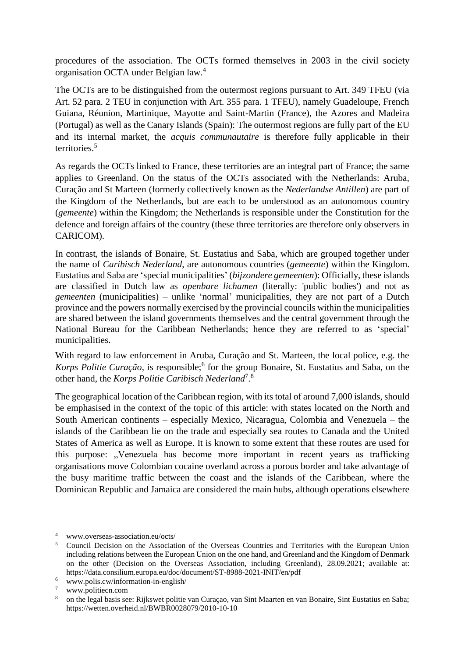procedures of the association. The OCTs formed themselves in 2003 in the civil society organisation OCTA under Belgian law.<sup>4</sup>

The OCTs are to be distinguished from the outermost regions pursuant to Art. 349 TFEU (via Art. 52 para. 2 TEU in conjunction with Art. 355 para. 1 TFEU), namely Guadeloupe, French Guiana, Réunion, Martinique, Mayotte and Saint-Martin (France), the Azores and Madeira (Portugal) as well as the Canary Islands (Spain): The outermost regions are fully part of the EU and its internal market, the *acquis communautaire* is therefore fully applicable in their territories.<sup>5</sup>

As regards the OCTs linked to France, these territories are an integral part of France; the same applies to Greenland. On the status of the OCTs associated with the Netherlands: Aruba, Curação and St Marteen (formerly collectively known as the *Nederlandse Antillen*) are part of the Kingdom of the Netherlands, but are each to be understood as an autonomous country (*gemeente*) within the Kingdom; the Netherlands is responsible under the Constitution for the defence and foreign affairs of the country (these three territories are therefore only observers in CARICOM).

In contrast, the islands of Bonaire, St. Eustatius and Saba, which are grouped together under the name of *Caribisch Nederland*, are autonomous countries (*gemeente*) within the Kingdom. Eustatius and Saba are 'special municipalities' (*bijzondere gemeenten*): Officially, these islands are classified in Dutch law as *openbare lichamen* (literally: 'public bodies') and not as *gemeenten* (municipalities) – unlike 'normal' municipalities, they are not part of a Dutch province and the powers normally exercised by the provincial councils within the municipalities are shared between the island governments themselves and the central government through the National Bureau for the Caribbean Netherlands; hence they are referred to as 'special' municipalities.

With regard to law enforcement in Aruba, Curação and St. Marteen, the local police, e.g. the Korps Politie Curação, is responsible;<sup>6</sup> for the group Bonaire, St. Eustatius and Saba, on the other hand, the *Korps Politie Caribisch Nederland*<sup>7</sup>.<sup>8</sup>

The geographical location of the Caribbean region, with its total of around 7,000 islands, should be emphasised in the context of the topic of this article: with states located on the North and South American continents – especially Mexico, Nicaragua, Colombia and Venezuela – the islands of the Caribbean lie on the trade and especially sea routes to Canada and the United States of America as well as Europe. It is known to some extent that these routes are used for this purpose: "Venezuela has become more important in recent years as trafficking organisations move Colombian cocaine overland across a porous border and take advantage of the busy maritime traffic between the coast and the islands of the Caribbean, where the Dominican Republic and Jamaica are considered the main hubs, although operations elsewhere

<sup>4</sup> www.overseas-association.eu/octs/

<sup>5</sup> Council Decision on the Association of the Overseas Countries and Territories with the European Union including relations between the European Union on the one hand, and Greenland and the Kingdom of Denmark on the other (Decision on the Overseas Association, including Greenland), 28.09.2021; available at: https://data.consilium.europa.eu/doc/document/ST-8988-2021-INIT/en/pdf

<sup>6</sup> www.polis.cw/information-in-english/

 $7 \twww.politiecn.com$ <br> $8 \t{on the local basic sec}$ 

<sup>8</sup> on the legal basis see: Rijkswet politie van Curaçao, van Sint Maarten en van Bonaire, Sint Eustatius en Saba; https://wetten.overheid.nl/BWBR0028079/2010-10-10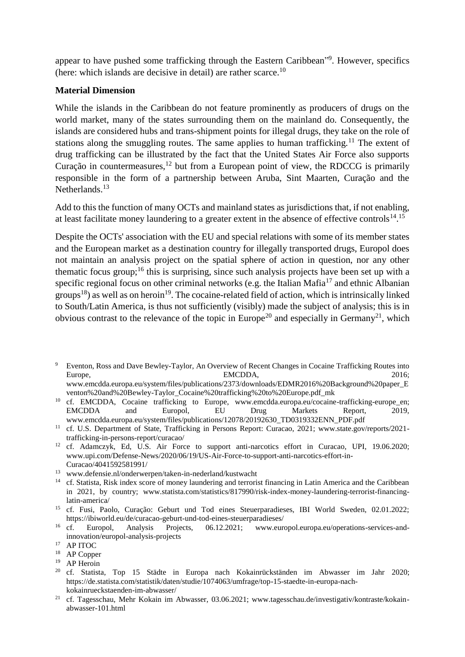appear to have pushed some trafficking through the Eastern Caribbean"<sup>9</sup>. However, specifics (here: which islands are decisive in detail) are rather scarce.<sup>10</sup>

#### **Material Dimension**

While the islands in the Caribbean do not feature prominently as producers of drugs on the world market, many of the states surrounding them on the mainland do. Consequently, the islands are considered hubs and trans-shipment points for illegal drugs, they take on the role of stations along the smuggling routes. The same applies to human trafficking.<sup>11</sup> The extent of drug trafficking can be illustrated by the fact that the United States Air Force also supports Curação in countermeasures, $^{12}$  but from a European point of view, the RDCCG is primarily responsible in the form of a partnership between Aruba, Sint Maarten, Curação and the Netherlands.<sup>13</sup>

Add to this the function of many OCTs and mainland states as jurisdictions that, if not enabling, at least facilitate money laundering to a greater extent in the absence of effective controls<sup>14</sup>.<sup>15</sup>

Despite the OCTs' association with the EU and special relations with some of its member states and the European market as a destination country for illegally transported drugs, Europol does not maintain an analysis project on the spatial sphere of action in question, nor any other thematic focus group;<sup>16</sup> this is surprising, since such analysis projects have been set up with a specific regional focus on other criminal networks (e.g. the Italian Mafia<sup>17</sup> and ethnic Albanian groups<sup>18</sup>) as well as on heroin<sup>19</sup>. The cocaine-related field of action, which is intrinsically linked to South/Latin America, is thus not sufficiently (visibly) made the subject of analysis; this is in obvious contrast to the relevance of the topic in Europe<sup>20</sup> and especially in Germany<sup>21</sup>, which

- <sup>12</sup> cf. Adamczyk, Ed, U.S. Air Force to support anti-narcotics effort in Curacao, UPI, 19.06.2020; www.upi.com/Defense-News/2020/06/19/US-Air-Force-to-support-anti-narcotics-effort-in-Curacao/4041592581991/
- <sup>13</sup> www.defensie.nl/onderwerpen/taken-in-nederland/kustwacht
- <sup>14</sup> cf. Statista, Risk index score of money laundering and terrorist financing in Latin America and the Caribbean in 2021, by country; www.statista.com/statistics/817990/risk-index-money-laundering-terrorist-financinglatin-america/
- <sup>15</sup> cf. Fusi, Paolo, Curação: Geburt und Tod eines Steuerparadieses, IBI World Sweden, 02.01.2022; https://ibiworld.eu/de/curacao-geburt-und-tod-eines-steuerparadieses/<br><sup>16</sup> cf Europol Analysis Projects, 06.12.2021; www.eur
- <sup>16</sup> cf. Europol, Analysis Projects, 06.12.2021; www.europol.europa.eu/operations-services-andinnovation/europol-analysis-projects

- <sup>20</sup> cf. Statista, Top 15 Städte in Europa nach Kokainrückständen im Abwasser im Jahr 2020; https://de.statista.com/statistik/daten/studie/1074063/umfrage/top-15-staedte-in-europa-nachkokainrueckstaenden-im-abwasser/
- <sup>21</sup> cf. Tagesschau, Mehr Kokain im Abwasser, 03.06.2021; www.tagesschau.de/investigativ/kontraste/kokainabwasser-101.html

<sup>9</sup> Eventon, Ross and Dave Bewley-Taylor, An Overview of Recent Changes in Cocaine Trafficking Routes into Europe, 2016; EMCDDA, 2016; www.emcdda.europa.eu/system/files/publications/2373/downloads/EDMR2016%20Background%20paper\_E

venton%20and%20Bewley-Taylor\_Cocaine%20trafficking%20to%20Europe.pdf\_mk <sup>10</sup> cf. EMCDDA, Cocaine trafficking to Europe, www.emcdda.europa.eu/cocaine-trafficking-europe\_en; EMCDDA and Europol, EU Drug Markets Report, 2019,

www.emcdda.europa.eu/system/files/publications/12078/20192630\_TD0319332ENN\_PDF.pdf <sup>11</sup> cf. U.S. Department of State, Trafficking in Persons Report: Curacao, 2021; www.state.gov/reports/2021trafficking-in-persons-report/curacao/

<sup>17</sup> AP ITOC

<sup>&</sup>lt;sup>18</sup> AP Copper

<sup>&</sup>lt;sup>19</sup> AP Heroin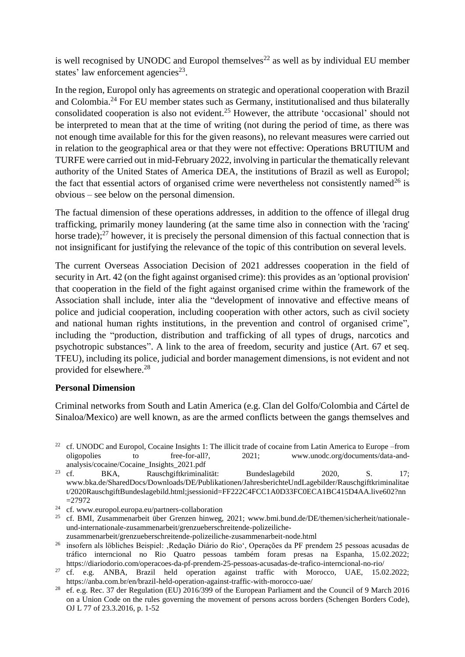is well recognised by UNODC and Europol themselves<sup>22</sup> as well as by individual EU member states' law enforcement agencies $^{23}$ .

In the region, Europol only has agreements on strategic and operational cooperation with Brazil and Colombia.<sup>24</sup> For EU member states such as Germany, institutionalised and thus bilaterally consolidated cooperation is also not evident.<sup>25</sup> However, the attribute 'occasional' should not be interpreted to mean that at the time of writing (not during the period of time, as there was not enough time available for this for the given reasons), no relevant measures were carried out in relation to the geographical area or that they were not effective: Operations BRUTIUM and TURFE were carried out in mid-February 2022, involving in particular the thematically relevant authority of the United States of America DEA, the institutions of Brazil as well as Europol; the fact that essential actors of organised crime were nevertheless not consistently named<sup>26</sup> is obvious – see below on the personal dimension.

The factual dimension of these operations addresses, in addition to the offence of illegal drug trafficking, primarily money laundering (at the same time also in connection with the 'racing' horse trade); $^{27}$  however, it is precisely the personal dimension of this factual connection that is not insignificant for justifying the relevance of the topic of this contribution on several levels.

The current Overseas Association Decision of 2021 addresses cooperation in the field of security in Art. 42 (on the fight against organised crime): this provides as an 'optional provision' that cooperation in the field of the fight against organised crime within the framework of the Association shall include, inter alia the "development of innovative and effective means of police and judicial cooperation, including cooperation with other actors, such as civil society and national human rights institutions, in the prevention and control of organised crime", including the "production, distribution and trafficking of all types of drugs, narcotics and psychotropic substances". A link to the area of freedom, security and justice (Art. 67 et seq. TFEU), including its police, judicial and border management dimensions, is not evident and not provided for elsewhere.<sup>28</sup>

#### **Personal Dimension**

Criminal networks from South and Latin America (e.g. Clan del Golfo/Colombia and Cártel de Sinaloa/Mexico) are well known, as are the armed conflicts between the gangs themselves and

<sup>22</sup> cf. UNODC and Europol, Cocaine Insights 1: The illicit trade of cocaine from Latin America to Europe –from oligopolies to free-for-all?, 2021; www.unodc.org/documents/data-andanalysis/cocaine/Cocaine\_Insights\_2021.pdf

- <sup>24</sup> cf. www.europol.europa.eu/partners-collaboration
- <sup>25</sup> cf. BMI, Zusammenarbeit über Grenzen hinweg, 2021; www.bmi.bund.de/DE/themen/sicherheit/nationaleund-internationale-zusammenarbeit/grenzueberschreitende-polizeilichezusammenarbeit/grenzueberschreitende-polizeiliche-zusammenarbeit-node.html
- <sup>26</sup> insofern als löbliches Beispiel: ,Redação Diário do Rio<sup>4</sup>, Operações da PF prendem 25 pessoas acusadas de tráfico interncional no Rio Quatro pessoas também foram presas na Espanha, 15.02.2022; https://diariodorio.com/operacoes-da-pf-prendem-25-pessoas-acusadas-de-trafico-interncional-no-rio/
- <sup>27</sup> cf. e.g. ANBA, Brazil held operation against traffic with Morocco, UAE, 15.02.2022; https://anba.com.br/en/brazil-held-operation-against-traffic-with-morocco-uae/
- <sup>28</sup> ef. e.g. Rec. 37 der Regulation (EU) 2016/399 of the European Parliament and the Council of 9 March 2016 on a Union Code on the rules governing the movement of persons across borders (Schengen Borders Code), OJ L 77 of 23.3.2016, p. 1-52

<sup>&</sup>lt;sup>23</sup> cf. BKA, Rauschgiftkriminalität: Bundeslagebild  $2020$ , S. 17; www.bka.de/SharedDocs/Downloads/DE/Publikationen/JahresberichteUndLagebilder/Rauschgiftkriminalitae t/2020RauschgiftBundeslagebild.html;jsessionid=FF222C4FCC1A0D33FC0ECA1BC415D4AA.live602?nn =27972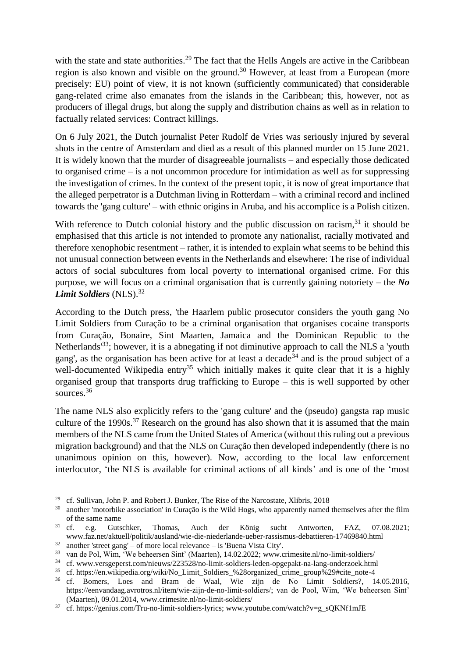with the state and state authorities.<sup>29</sup> The fact that the Hells Angels are active in the Caribbean region is also known and visible on the ground.<sup>30</sup> However, at least from a European (more precisely: EU) point of view, it is not known (sufficiently communicated) that considerable gang-related crime also emanates from the islands in the Caribbean; this, however, not as producers of illegal drugs, but along the supply and distribution chains as well as in relation to factually related services: Contract killings.

On 6 July 2021, the Dutch journalist Peter Rudolf de Vries was seriously injured by several shots in the centre of Amsterdam and died as a result of this planned murder on 15 June 2021. It is widely known that the murder of disagreeable journalists – and especially those dedicated to organised crime – is a not uncommon procedure for intimidation as well as for suppressing the investigation of crimes. In the context of the present topic, it is now of great importance that the alleged perpetrator is a Dutchman living in Rotterdam – with a criminal record and inclined towards the 'gang culture' – with ethnic origins in Aruba, and his accomplice is a Polish citizen.

With reference to Dutch colonial history and the public discussion on racism,<sup>31</sup> it should be emphasised that this article is not intended to promote any nationalist, racially motivated and therefore xenophobic resentment – rather, it is intended to explain what seems to be behind this not unusual connection between events in the Netherlands and elsewhere: The rise of individual actors of social subcultures from local poverty to international organised crime. For this purpose, we will focus on a criminal organisation that is currently gaining notoriety – the *No*  Limit Soldiers (NLS).<sup>32</sup>

According to the Dutch press, 'the Haarlem public prosecutor considers the youth gang No Limit Soldiers from Curação to be a criminal organisation that organises cocaine transports from Curação, Bonaire, Sint Maarten, Jamaica and the Dominican Republic to the Netherlands<sup>33</sup>; however, it is a abnegating if not diminutive approach to call the NLS a 'youth gang', as the organisation has been active for at least a decade<sup>34</sup> and is the proud subject of a well-documented Wikipedia entry<sup>35</sup> which initially makes it quite clear that it is a highly organised group that transports drug trafficking to Europe – this is well supported by other sources.<sup>36</sup>

The name NLS also explicitly refers to the 'gang culture' and the (pseudo) gangsta rap music culture of the 1990s.<sup>37</sup> Research on the ground has also shown that it is assumed that the main members of the NLS came from the United States of America (without this ruling out a previous migration background) and that the NLS on Curação then developed independently (there is no unanimous opinion on this, however). Now, according to the local law enforcement interlocutor, 'the NLS is available for criminal actions of all kinds' and is one of the 'most

<sup>&</sup>lt;sup>29</sup> cf. Sullivan, John P. and Robert J. Bunker, The Rise of the Narcostate, Xlibris, 2018<br><sup>30</sup> another motorbike association in Curação is the Wild Hogs, who apparently named

another 'motorbike association' in Curação is the Wild Hogs, who apparently named themselves after the film

of the same name<br> $31 \text{ cf.}$  e.g. Guts <sup>31</sup> cf. e.g. Gutschker, Thomas, Auch der König sucht Antworten, FAZ, 07.08.2021; www.faz.net/aktuell/politik/ausland/wie-die-niederlande-ueber-rassismus-debattieren-17469840.html

 $32$  another 'street gang' – of more local relevance – is 'Buena Vista City'.

<sup>33</sup> van de Pol, Wim, 'We beheersen Sint' (Maarten), 14.02.2022; www.crimesite.nl/no-limit-soldiers/

<sup>34</sup> cf. www.versgeperst.com/nieuws/223528/no-limit-soldiers-leden-opgepakt-na-lang-onderzoek.html

<sup>&</sup>lt;sup>35</sup> cf. https://en.wikipedia.org/wiki/No\_Limit\_Soldiers\_%28organized\_crime\_group%29#cite\_note-4<br><sup>36</sup> cf Bomers Loes and Bram de Waal. Wie zijn de No Limit Soldiers?, 14

<sup>36</sup> cf. Bomers, Loes and Bram de Waal, Wie zijn de No Limit Soldiers?, 14.05.2016, https://eenvandaag.avrotros.nl/item/wie-zijn-de-no-limit-soldiers/; van de Pool, Wim, 'We beheersen Sint' (Maarten), 09.01.2014, www.crimesite.nl/no-limit-soldiers/

<sup>&</sup>lt;sup>37</sup> cf. https://genius.com/Tru-no-limit-soldiers-lyrics; [www.youtube.](http://www.youtube/)com/watch?v=g\_sQKNf1mJE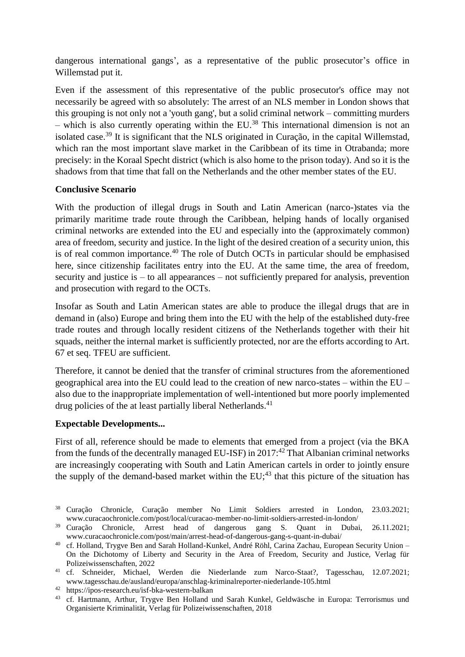dangerous international gangs', as a representative of the public prosecutor's office in Willemstad put it.

Even if the assessment of this representative of the public prosecutor's office may not necessarily be agreed with so absolutely: The arrest of an NLS member in London shows that this grouping is not only not a 'youth gang', but a solid criminal network – committing murders – which is also currently operating within the EU.<sup>38</sup> This international dimension is not an isolated case.<sup>39</sup> It is significant that the NLS originated in Curação, in the capital Willemstad, which ran the most important slave market in the Caribbean of its time in Otrabanda; more precisely: in the Koraal Specht district (which is also home to the prison today). And so it is the shadows from that time that fall on the Netherlands and the other member states of the EU.

## **Conclusive Scenario**

With the production of illegal drugs in South and Latin American (narco-)states via the primarily maritime trade route through the Caribbean, helping hands of locally organised criminal networks are extended into the EU and especially into the (approximately common) area of freedom, security and justice. In the light of the desired creation of a security union, this is of real common importance.<sup>40</sup> The role of Dutch OCTs in particular should be emphasised here, since citizenship facilitates entry into the EU. At the same time, the area of freedom, security and justice is – to all appearances – not sufficiently prepared for analysis, prevention and prosecution with regard to the OCTs.

Insofar as South and Latin American states are able to produce the illegal drugs that are in demand in (also) Europe and bring them into the EU with the help of the established duty-free trade routes and through locally resident citizens of the Netherlands together with their hit squads, neither the internal market is sufficiently protected, nor are the efforts according to Art. 67 et seq. TFEU are sufficient.

Therefore, it cannot be denied that the transfer of criminal structures from the aforementioned geographical area into the EU could lead to the creation of new narco-states – within the EU – also due to the inappropriate implementation of well-intentioned but more poorly implemented drug policies of the at least partially liberal Netherlands.<sup>41</sup>

# **Expectable Developments...**

First of all, reference should be made to elements that emerged from a project (via the BKA from the funds of the decentrally managed EU-ISF) in  $2017<sup>42</sup>$  That Albanian criminal networks are increasingly cooperating with South and Latin American cartels in order to jointly ensure the supply of the demand-based market within the  $EU;^{43}$  that this picture of the situation has

<sup>38</sup> Curação Chronicle, Curação member No Limit Soldiers arrested in London, 23.03.2021; www.curacaochronicle.com/post/local/curacao-member-no-limit-soldiers-arrested-in-london/<br><sup>39</sup> Curacão Chronicle. Arrest head of dangerous gang S. Quant in Dubai

Chronicle, Arrest head of dangerous gang S. Quant in Dubai, 26.11.2021; www.curacaochronicle.com/post/main/arrest-head-of-dangerous-gang-s-quant-in-dubai/

<sup>40</sup> cf. Holland, Trygve Ben and Sarah Holland-Kunkel, André Röhl, Carina Zachau, European Security Union – On the Dichotomy of Liberty and Security in the Area of Freedom, Security and Justice, Verlag für Polizeiwissenschaften, 2022

<sup>41</sup> cf. Schneider, Michael, Werden die Niederlande zum Narco-Staat?, Tagesschau, 12.07.2021; www.tagesschau.de/ausland/europa/anschlag-kriminalreporter-niederlande-105.html

<sup>42</sup> https://ipos-research.eu/isf-bka-western-balkan

<sup>&</sup>lt;sup>43</sup> cf. Hartmann, Arthur, Trygve Ben Holland und Sarah Kunkel, Geldwäsche in Europa: Terrorismus und Organisierte Kriminalität, Verlag für Polizeiwissenschaften, 2018